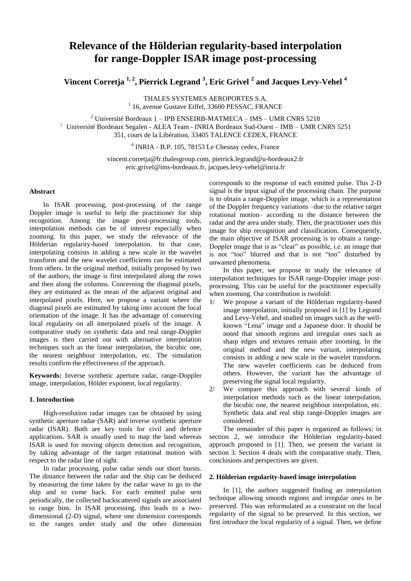# **Relevance of the Hölderian regularity-based interpolation for range-Doppler ISAR image post-processing**

**Vincent Corretja 1, 2, Pierrick Legrand <sup>3</sup> , Eric Grivel <sup>2</sup> and Jacques Levy-Vehel <sup>4</sup>**

THALES SYSTEMES AEROPORTES S.A. <sup>1</sup> 16, avenue Gustave Eiffel, 33600 PESSAC, FRANCE

<sup>2</sup> Université Bordeaux 1 – IPB ENSEIRB-MATMECA – IMS – UMR CNRS 5218 <sup>3</sup> Université Bordeaux Segalen - ALEA Team - INRIA Bordeaux Sud-Ouest – IMB – UMR CNRS 5251 351, cours de la Libération, 33405 TALENCE CEDEX, FRANCE

4 INRIA - B.P. 105, 78153 Le Chesnay cedex, France

vincent.corretja@fr.thalesgroup.com, pierrick.legrand@u-bordeaux2.fr eric.grivel@ims-bordeaux.fr, jacques.levy-vehel@inria.fr

# **Abstract**

In ISAR processing, post-processing of the range Doppler image is useful to help the practitioner for ship recognition. Among the image post-processing tools, interpolation methods can be of interest especially when zooming. In this paper, we study the relevance of the Hölderian regularity-based interpolation. In that case, interpolating consists in adding a new scale in the wavelet transform and the new wavelet coefficients can be estimated from others. In the original method, initially proposed by two of the authors, the image is first interpolated along the rows and then along the columns. Concerning the diagonal pixels, they are estimated as the mean of the adjacent original and interpolated pixels. Here, we propose a variant where the diagonal pixels are estimated by taking into account the local orientation of the image. It has the advantage of conserving local regularity on all interpolated pixels of the image. A comparative study on synthetic data and real range-Doppler images is then carried out with alternative interpolation techniques such as the linear interpolation, the bicubic one, the nearest neighbour interpolation, etc. The simulation results confirm the effectiveness of the approach.

**Keywords:** Inverse synthetic aperture radar, range-Doppler image, interpolation, Hölder exponent, local regularity.

## **1. Introduction**

High-resolution radar images can be obtained by using synthetic aperture radar (SAR) and inverse synthetic aperture radar (ISAR). Both are key tools for civil and defence applications. SAR is usually used to map the land whereas ISAR is used for moving objects detection and recognition, by taking advantage of the target rotational motion with respect to the radar line of sight.

In radar processing, pulse radar sends out short bursts. The distance between the radar and the ship can be deduced by measuring the time taken by the radar wave to go to the ship and to come back. For each emitted pulse sent periodically, the collected backscattered signals are associated to range bins. In ISAR processing, this leads to a twodimensional (2-D) signal, where one dimension corresponds to the ranges under study and the other dimension corresponds to the response of each emitted pulse. This 2-D signal is the input signal of the processing chain. The purpose is to obtain a range-Doppler image, which is a representation of the Doppler frequency variations –due to the relative target rotational motion– according to the distance between the radar and the area under study. Then, the practitioner uses this image for ship recognition and classification. Consequently, the main objective of ISAR processing is to obtain a range-Doppler image that is as "clear" as possible, i.e. an image that is not "too" blurred and that is not "too" disturbed by unwanted phenomena.

In this paper, we propose to study the relevance of interpolation techniques for ISAR range-Doppler image postprocessing. This can be useful for the practitioner especially when zooming. Our contribution is twofold:

- 1/ We propose a variant of the Hölderian regularity-based image interpolation, initially proposed in [\[1\]](#page-3-0) by Legrand and Levy-Vehel, and studied on images such as the wellknown "Lena" image and a Japanese door. It should be noted that smooth regions and irregular ones such as sharp edges and textures remain after zooming. In the original method and the new variant, interpolating consists in adding a new scale in the wavelet transform. The new wavelet coefficients can be deduced from others. However, the variant has the advantage of preserving the signal local regularity.
- 2/ We compare this approach with several kinds of interpolation methods such as the linear interpolation, the bicubic one, the nearest neighbour interpolation, etc. Synthetic data and real ship range-Doppler images are considered.

The remainder of this paper is organized as follows: in section 2, we introduce the Hölderian regularity-based approach proposed in [\[1\].](#page-3-0) Then, we present the variant in section 3. Section 4 deals with the comparative study. Then, conclusions and perspectives are given.

## **2. Hölderian regularity-based image interpolation**

In [\[1\],](#page-3-0) the authors suggested finding an interpolation technique allowing smooth regions and irregular ones to be preserved. This was reformulated as a constraint on the local regularity of the signal to be preserved. In this section, we first introduce the local regularity of a signal. Then, we define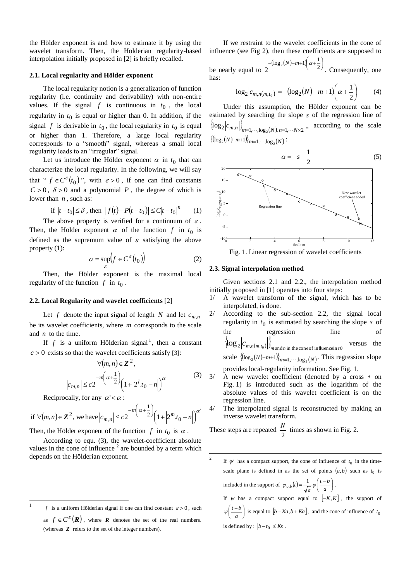the Hölder exponent is and how to estimate it by using the wavelet transform. Then, the Hölderian regularity-based interpolation initially proposed in [\[2\]](#page-3-1) is briefly recalled.

#### **2.1. Local regularity and Hölder exponent**

The local regularity notion is a generalization of function regularity (i.e. continuity and derivability) with non-entire values. If the signal  $f$  is continuous in  $t_0$ , the local regularity in  $t_0$  is equal or higher than 0. In addition, if the signal  $f$  is derivable in  $t_0$ , the local regularity in  $t_0$  is equal or higher than 1. Therefore, a large local regularity corresponds to a "smooth" signal, whereas a small local regularity leads to an "irregular" signal.

Let us introduce the Hölder exponent  $\alpha$  in  $t_0$  that can characterize the local regularity. In the following, we will say that " $f \in C^{\varepsilon}(t_0)$ ", with  $\varepsilon > 0$ , if one can find constants  $C > 0$ ,  $\delta > 0$  and a polynomial P, the degree of which is lower than  $n$ , such as:

if 
$$
|t - t_0| \le \delta
$$
, then  $|f(t) - P(t - t_0)| \le C|t - t_0|^n$  (1)

The above property is verified for a continuum of  $\varepsilon$ . Then, the Hölder exponent  $\alpha$  of the function  $f$  in  $t_0$  is defined as the supremum value of  $\varepsilon$  satisfying the above property [\(1\):](#page-1-0)

$$
\alpha = \sup_{\varepsilon} \Bigl( f \in C^{\varepsilon}(t_0) \Bigr) \tag{2}
$$

Then, the Hölder exponent is the maximal local regularity of the function  $f$  in  $t_0$ .

### **2.2. Local Regularity and wavelet coefficients** [\[2\]](#page-3-1)

Let f denote the input signal of length N and let  $c_{m,n}$ be its wavelet coefficients, where *m* corresponds to the scale and *n* to the time.

If  $f$  is a uniform Hölderian signal<sup>1</sup>, then a constant  $c > 0$  exists so that the wavelet coefficients satisfy [\[3\]](#page-3-2):

$$
\forall (m, n) \in \mathbb{Z}^2,
$$
  

$$
|c_{m,n}| \le c2^{-m\left(\alpha + \frac{1}{2}\right)} \left(1 + \left|2^{l} t_0 - n\right|\right)^{\alpha}
$$
 (3)

'

 $\frac{1}{2}$ 

Reciprocally, for any  $\alpha' < \alpha$ :

if 
$$
\forall (m,n) \in \mathbb{Z}^2
$$
, we have  $|c_{m,n}| \le c2^{-m\left(\alpha + \frac{1}{2}\right)}\left(1 + |2^m t_0 - n|\right)^{\alpha}$ 

Then, the Hölder exponent of the function  $f$  in  $t_0$  is  $\alpha$ .

According to equ. [\(3\),](#page-1-1) the wavelet-coefficient absolute values in the cone of influence  $2$  are bounded by a term which depends on the Hölderian exponent.

If we restraint to the wavelet coefficients in the cone of influence (see Fig [2\)](#page-2-0), then these coefficients are supposed to

be nearly equal to  $\left(\log_2(N)-m+1\right)\left(\alpha+\frac{1}{2}\right)$  $\left(\alpha+\frac{1}{2}\right)$  $-(\log_2(N)-m+1)(\alpha+\frac{1}{2})$  $(\log_2(N)-m+1)/\alpha+\frac{1}{2}$ 2 *N*) $-m+1$  $\alpha$ . Consequently, one has:

$$
\log_2 \Big| c_{m,n(m,t_0)} \Big| = -\big(\log_2(N) - m + 1\big) \Big( \alpha + \frac{1}{2} \Big) \tag{4}
$$

Under this assumption, the Hölder exponent can be estimated by searching the slope *s* of the regression line of  $\left\{ \log_2 |c_{m,n}|\right\}_{m=1,\dots,\log_2(N), n=1,\dots N\times 2^{-m}}$  according to the scale  $\left\{ (\log_2(N) - m + 1) \right\}_{m=1,\dots,\log_2(N)}$ 



<span id="page-1-2"></span><span id="page-1-0"></span>

#### **2.3. Signal interpolation method**

Given sections 2.1 and 2.2., the interpolation method initially proposed in [\[1\]](#page-3-0) operates into four steps:

- 1/ A wavelet transform of the signal, which has to be interpolated, is done.
- 2/ According to the sub-section 2.2, the signal local regularity in  $t_0$  is estimated by searching the slope s of the regression line of  $\left\langle \log_2 \left| c_{m,n(m,t_0)} \right| \right\}_{m \text{ and } n \text{ in the concept influence in } t_0$ versus the scale  $\{(\log_2(N)-m+1)\}_{m=1,\cdots,\log_2(N)}$ . This regression slope provides local-regularity information. See Fig. [1.](#page-1-2)
- <span id="page-1-1"></span>3/ A new wavelet coefficient (denoted by a cross  $*$  on Fig. [1\)](#page-1-2) is introduced such as the logarithm of the absolute values of this wavelet coefficient is on the regression line.
- 4/ The interpolated signal is reconstructed by making an inverse wavelet transform.

These steps are repeated  $\frac{1}{2}$  $\frac{N}{2}$  times as shown in Fig. [2.](#page-2-0)

If  $\psi$  has a compact support, the cone of influence of  $t_0$  in the timescale plane is defined in as the set of points  $(a,b)$  such as  $t_0$  is included in the support of  $\psi_{a,b}(t) = \frac{1}{\sqrt{a}} \psi\left(\frac{t}{a}\right)$  $\left(\frac{t-b}{a}\right)$  $=\frac{1}{\sqrt{a}}\psi\left(\frac{t-a}{a}\right)$  $t - b$  $\psi_{a,b}(t) = \frac{1}{\sqrt{a}} \psi\left(\frac{t-b}{a}\right).$ If  $\psi$  has a compact support equal to  $[-K, K]$ , the support of  $\int t -$ 

 $\overline{\phantom{a}}$  $\left(\frac{t-b}{a}\right)$ *a*  $\psi\left(\frac{t-b}{t}\right)$  is equal to  $\left[b - Ka, b + Ka\right]$ , and the cone of influence of  $t_0$ is defined by :  $|b - t_0| \le Ks$ .

<sup>|&</sup>lt;br>|<br>| f is a uniform Hölderian signal if one can find constant  $\varepsilon > 0$ , such

as  $f \in C^{\mathcal{E}}(\mathbf{R})$ , where **R** denotes the set of the real numbers. (whereas *Z* refers to the set of the integer numbers).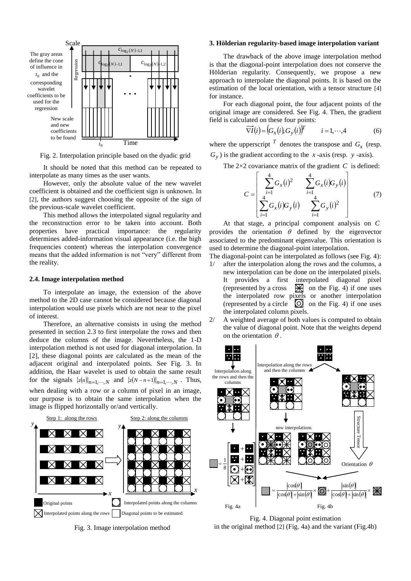

<span id="page-2-0"></span>Fig. 2. Interpolation principle based on the dyadic grid

It should be noted that this method can be repeated to interpolate as many times as the user wants.

However, only the absolute value of the new wavelet coefficient is obtained and the coefficient sign is unknown. In [\[2\]](#page-3-1), the authors suggest choosing the opposite of the sign of the previous-scale wavelet coefficient.

This method allows the interpolated signal regularity and the reconstruction error to be taken into account. Both properties have practical importance: the regularity determines added-information visual appearance (i.e. the high frequencies content) whereas the interpolation convergence means that the added information is not "very" different from the reality.

#### **2.4. Image interpolation method**

To interpolate an image, the extension of the above method to the 2D case cannot be considered because diagonal interpolation would use pixels which are not near to the pixel of interest.

Therefore, an alternative consists in using the method presented in section 2.3 to first interpolate the rows and then deduce the columns of the image. Nevertheless, the 1-D interpolation method is not used for diagonal interpolation. In [\[2\],](#page-3-1) these diagonal points are calculated as the mean of the adjacent original and interpolated points. See Fig. [3.](#page-2-1) In addition, the Haar wavelet is used to obtain the same result for the signals  $\{z(n)\}_{n=1,\dots,N}$  and  $\{z(N-n+1)\}_{n=1,\dots,N}$ . Thus,

when dealing with a row or a column of pixel in an image, our purpose is to obtain the same interpolation when the image is flipped horizontally or/and vertically.



<span id="page-2-1"></span>Fig. 3. Image interpolation method

## **3. Hölderian regularity-based image interpolation variant**

The drawback of the above image interpolation method is that the diagonal-point interpolation does not conserve the Hölderian regularity. Consequently, we propose a new approach to interpolate the diagonal points. It is based on the estimation of the local orientation, with a tensor structure [\[4\]](#page-3-3) for instance.

For each diagonal point, the four adjacent points of the original image are considered. See Fig. [4.](#page-2-2) Then, the gradient field is calculated on these four points:

$$
\overrightarrow{\nabla I}(i) = (G_x(i), G_y(i))^T \qquad i = 1, \cdots, 4
$$
 (6)

where the upperscript  $T$  denotes the transpose and  $G_x$  (resp.  $G_y$ ) is the gradient according to the *x*-axis (resp. *y*-axis).

The  $2\times 2$  covariance matrix of the gradient C is defined:

$$
C = \begin{bmatrix} \sum_{i=1}^{4} G_x(i)^2 & \sum_{i=1}^{4} G_x(i)G_y(i) \\ \sum_{i=1}^{4} G_x(i)G_y(i) & \sum_{i=1}^{4} G_y(i)^2 \end{bmatrix}
$$
(7)

At that stage, a principal component analysis on *C* provides the orientation  $\theta$  defined by the eigenvector associated to the predominant eigenvalue. This orientation is used to determine the diagonal-point interpolation.

The diagonal-point can be interpolated as follows (see Fig. [4\)](#page-2-2):

- 1/ after the interpolation along the rows and the columns, a new interpolation can be done on the interpolated pixels. It provides a first interpolated diagonal pixel (represented by a cross  $\mathbb{R}$  on the Fig. [4\)](#page-2-2) if one uses the interpolated row pixels or another interpolation (represented by a circle  $\Box$  on the Fig. [4\)](#page-2-2) if one uses the interpolated column pixels.
- 2/ A weighted average of both values is computed to obtain the value of diagonal point. Note that the weights depend on the orientation  $\theta$ .



<span id="page-2-2"></span>Fig. 4. Diagonal point estimation in the original method [\[2\]](#page-3-1) (Fig. 4a) and the variant (Fig.4b)